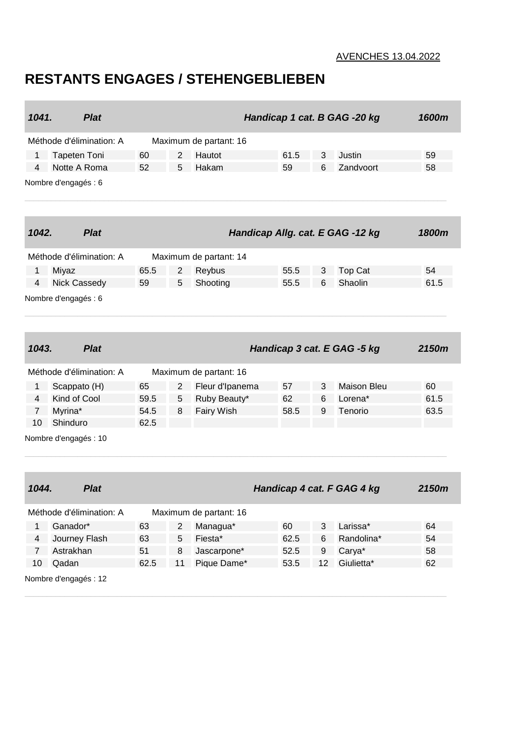## AVENCHES 13.04.2022

## **RESTANTS ENGAGES / STEHENGEBLIEBEN**

|                          | 1041.<br><b>Plat</b> |             | Handicap 1 cat. B GAG -20 kg |                |                        |      |    |                                  |  | 1600m |
|--------------------------|----------------------|-------------|------------------------------|----------------|------------------------|------|----|----------------------------------|--|-------|
| Méthode d'élimination: A |                      |             | Maximum de partant: 16       |                |                        |      |    |                                  |  |       |
| <b>Tapeten Toni</b><br>1 |                      |             | 60                           | 2              | Hautot                 | 61.5 | 3  | Justin                           |  | 59    |
| 4                        | Notte A Roma         |             | 52                           | 5              | Hakam                  | 59   | 6  | Zandvoort                        |  | 58    |
|                          | Nombre d'engagés : 6 |             |                              |                |                        |      |    |                                  |  |       |
| 1042.                    |                      | <b>Plat</b> |                              |                |                        |      |    | Handicap Allg. cat. E GAG -12 kg |  | 1800m |
| Méthode d'élimination: A |                      |             | Maximum de partant: 14       |                |                        |      |    |                                  |  |       |
| 1                        | Miyaz                |             | 65.5                         | 2              | Reybus                 | 55.5 | 3  | <b>Top Cat</b>                   |  | 54    |
| 4                        | <b>Nick Cassedy</b>  |             | 59                           | 5              | Shooting               | 55.5 | 6  | Shaolin                          |  | 61.5  |
| Nombre d'engagés : 6     |                      |             |                              |                |                        |      |    |                                  |  |       |
| 1043.                    |                      | <b>Plat</b> |                              |                |                        |      |    | Handicap 3 cat. E GAG -5 kg      |  | 2150m |
| Méthode d'élimination: A |                      |             | Maximum de partant: 16       |                |                        |      |    |                                  |  |       |
| 1                        | Scappato (H)         |             | 65                           | 2              | Fleur d'Ipanema        | 57   | 3  | <b>Maison Bleu</b>               |  | 60    |
| 4                        | Kind of Cool         |             | 59.5                         | 5              | Ruby Beauty*           | 62   | 6  | Lorena*                          |  | 61.5  |
| $\overline{7}$           | Myrina*              |             | 54.5                         | 8              | Fairy Wish             | 58.5 | 9  | Tenorio                          |  | 63.5  |
| 10                       | Shinduro             |             | 62.5                         |                |                        |      |    |                                  |  |       |
| Nombre d'engagés : 10    |                      |             |                              |                |                        |      |    |                                  |  |       |
| 1044.                    |                      | <b>Plat</b> |                              |                |                        |      |    | Handicap 4 cat. F GAG 4 kg       |  | 2150m |
| Méthode d'élimination: A |                      |             |                              |                | Maximum de partant: 16 |      |    |                                  |  |       |
| $\mathbf{1}$             | Ganador*             |             | 63                           | $\overline{2}$ | Managua*               | 60   | 3  | Larissa*                         |  | 64    |
| 4                        | Journey Flash        |             | 63                           | 5              | Fiesta*                | 62.5 | 6  | Randolina*                       |  | 54    |
| $\overline{7}$           | Astrakhan            |             | 51                           | 8              | Jascarpone*            | 52.5 | 9  | Carya*                           |  | 58    |
| 10                       | Qadan                |             | 62.5                         | 11             | Pique Dame*            | 53.5 | 12 | Giulietta*                       |  | 62    |
| Nombre d'engagés : 12    |                      |             |                              |                |                        |      |    |                                  |  |       |